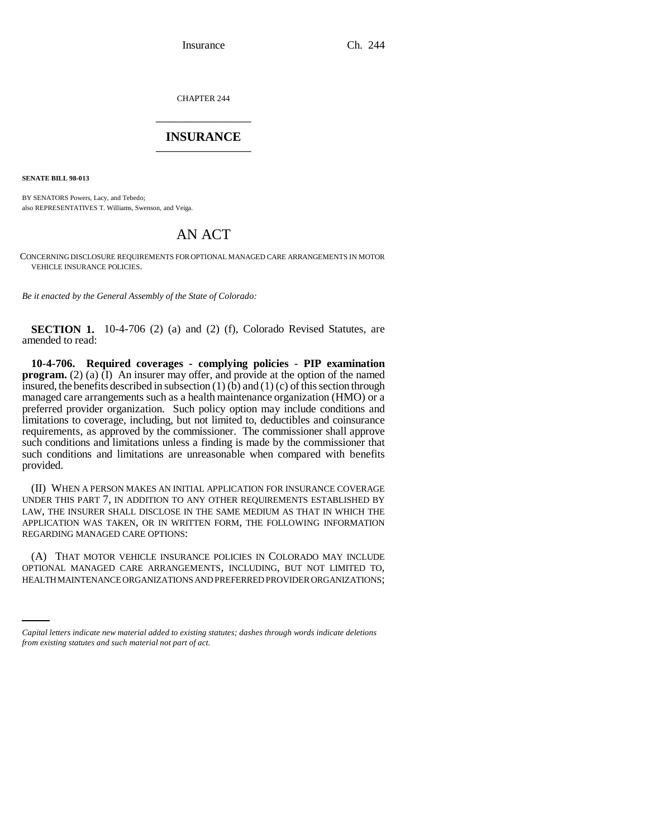CHAPTER 244 \_\_\_\_\_\_\_\_\_\_\_\_\_\_\_

## **INSURANCE** \_\_\_\_\_\_\_\_\_\_\_\_\_\_\_

**SENATE BILL 98-013**

BY SENATORS Powers, Lacy, and Tebedo; also REPRESENTATIVES T. Williams, Swenson, and Veiga.

## AN ACT

CONCERNING DISCLOSURE REQUIREMENTS FOR OPTIONAL MANAGED CARE ARRANGEMENTS IN MOTOR VEHICLE INSURANCE POLICIES.

*Be it enacted by the General Assembly of the State of Colorado:*

**SECTION 1.** 10-4-706 (2) (a) and (2) (f), Colorado Revised Statutes, are amended to read:

**10-4-706. Required coverages - complying policies - PIP examination program.** (2) (a)  $\overline{I}$ ) An insurer may offer, and provide at the option of the named insured, the benefits described in subsection  $(1)$  (b) and  $(1)$  (c) of this section through managed care arrangements such as a health maintenance organization (HMO) or a preferred provider organization. Such policy option may include conditions and limitations to coverage, including, but not limited to, deductibles and coinsurance requirements, as approved by the commissioner. The commissioner shall approve such conditions and limitations unless a finding is made by the commissioner that such conditions and limitations are unreasonable when compared with benefits provided.

(II) WHEN A PERSON MAKES AN INITIAL APPLICATION FOR INSURANCE COVERAGE UNDER THIS PART 7, IN ADDITION TO ANY OTHER REQUIREMENTS ESTABLISHED BY LAW, THE INSURER SHALL DISCLOSE IN THE SAME MEDIUM AS THAT IN WHICH THE APPLICATION WAS TAKEN, OR IN WRITTEN FORM, THE FOLLOWING INFORMATION REGARDING MANAGED CARE OPTIONS:

OPTIONAL MANAGED CARE ARRANGEMENTS, INCLUDING, BUT NOT LIMITED TO, (A) THAT MOTOR VEHICLE INSURANCE POLICIES IN COLORADO MAY INCLUDE HEALTH MAINTENANCE ORGANIZATIONS AND PREFERRED PROVIDER ORGANIZATIONS;

*Capital letters indicate new material added to existing statutes; dashes through words indicate deletions from existing statutes and such material not part of act.*